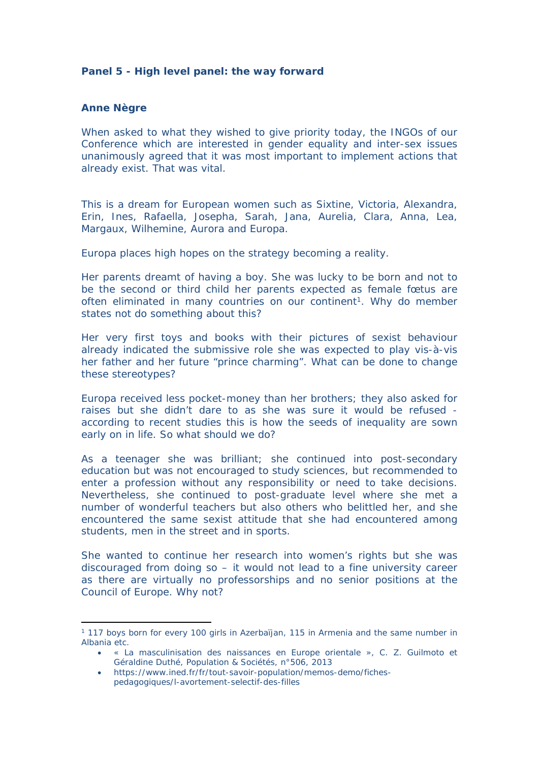## **Panel 5 - High level panel: the way forward**

## **Anne Nègre**

When asked to what they wished to give priority today, the INGOs of our Conference which are interested in gender equality and inter-sex issues unanimously agreed that it was most important to implement actions that already exist. That was vital.

This is a dream for European women such as Sixtine, Victoria, Alexandra, Erin, Ines, Rafaella, Josepha, Sarah, Jana, Aurelia, Clara, Anna, Lea, Margaux, Wilhemine, Aurora and Europa.

Europa places high hopes on the strategy becoming a reality.

Her parents dreamt of having a boy. She was lucky to be born and not to be the second or third child her parents expected as female fœtus are often eliminated in many countries on our continent<sup>1</sup>. Why do member states not do something about this?

Her very first toys and books with their pictures of sexist behaviour already indicated the submissive role she was expected to play vis-à-vis her father and her future "prince charming". What can be done to change these stereotypes?

Europa received less pocket-money than her brothers; they also asked for raises but she didn't dare to as she was sure it would be refused according to recent studies this is how the seeds of inequality are sown early on in life. So what should we do?

As a teenager she was brilliant; she continued into post-secondary education but was not encouraged to study sciences, but recommended to enter a profession without any responsibility or need to take decisions. Nevertheless, she continued to post-graduate level where she met a number of wonderful teachers but also others who belittled her, and she encountered the same sexist attitude that she had encountered among students, men in the street and in sports.

She wanted to continue her research into women's rights but she was discouraged from doing so – it would not lead to a fine university career as there are virtually no professorships and no senior positions at the Council of Europe. Why not?

<sup>1</sup> 117 boys born for every 100 girls in Azerbaïjan, 115 in Armenia and the same number in Albania etc.

« La masculinisation des naissances en Europe orientale », C. Z. Guilmoto et Géraldine Duthé, Population & Sociétés, n°506, 2013

https://www.ined.fr/fr/tout-savoir-population/memos-demo/fichespedagogiques/l-avortement-selectif-des-filles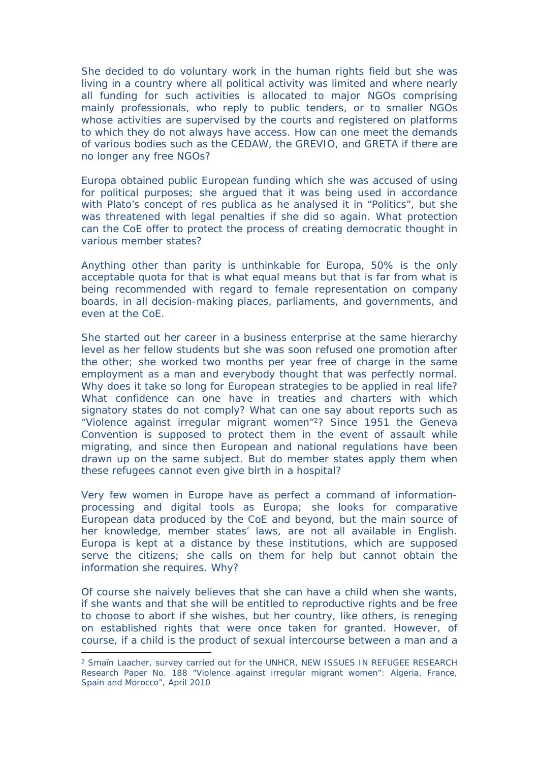She decided to do voluntary work in the human rights field but she was living in a country where all political activity was limited and where nearly all funding for such activities is allocated to major NGOs comprising mainly professionals, who reply to public tenders, or to smaller NGOs whose activities are supervised by the courts and registered on platforms to which they do not always have access. How can one meet the demands of various bodies such as the CEDAW, the GREVIO, and GRETA if there are no longer any free NGOs?

Europa obtained public European funding which she was accused of using for political purposes; she argued that it was being used in accordance with Plato's concept of *res publica* as he analysed it in "Politics", but she was threatened with legal penalties if she did so again. What protection can the CoE offer to protect the process of creating democratic thought in various member states?

Anything other than parity is unthinkable for Europa, 50% is the only acceptable quota for that is what equal means but that is far from what is being recommended with regard to female representation on company boards, in all decision-making places, parliaments, and governments, and even at the CoE.

She started out her career in a business enterprise at the same hierarchy level as her fellow students but she was soon refused one promotion after the other; she worked two months per year free of charge in the same employment as a man and everybody thought that was perfectly normal. Why does it take so long for European strategies to be applied in real life? What confidence can one have in treaties and charters with which signatory states do not comply? What can one say about reports such as "Violence against irregular migrant women"<sup>2</sup>? Since 1951 the Geneva Convention is supposed to protect them in the event of assault while migrating, and since then European and national regulations have been drawn up on the same subject. But do member states apply them when these refugees cannot even give birth in a hospital?

Very few women in Europe have as perfect a command of informationprocessing and digital tools as Europa; she looks for comparative European data produced by the CoE and beyond, but the main source of her knowledge, member states' laws, are not all available in English. Europa is kept at a distance by these institutions, which are supposed serve the citizens; she calls on them for help but cannot obtain the information she requires. Why?

Of course she naively believes that she can have a child when she wants, if she wants and that she will be entitled to reproductive rights and be free to choose to abort if she wishes, but her country, like others, is reneging on established rights that were once taken for granted. However, of course, if a child is the product of sexual intercourse between a man and a

<sup>2</sup> Smaïn Laacher, survey carried out for the UNHCR, NEW ISSUES IN REFUGEE RESEARCH Research Paper No. 188 "Violence against irregular migrant women": Algeria, France, Spain and Morocco", April 2010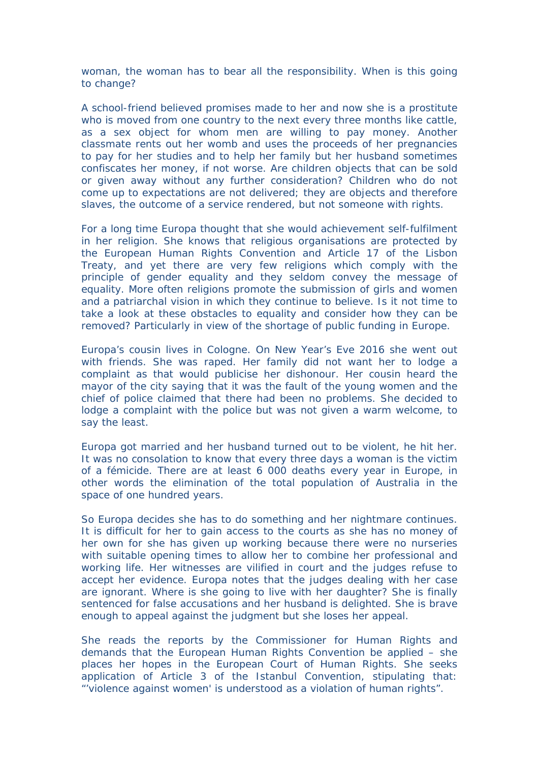woman, the woman has to bear all the responsibility. When is this going to change?

A school-friend believed promises made to her and now she is a prostitute who is moved from one country to the next every three months like cattle, as a sex object for whom men are willing to pay money. Another classmate rents out her womb and uses the proceeds of her pregnancies to pay for her studies and to help her family but her husband sometimes confiscates her money, if not worse. Are children objects that can be sold or given away without any further consideration? Children who do not come up to expectations are not delivered; they are objects and therefore slaves, the outcome of a service rendered, but not someone with rights.

For a long time Europa thought that she would achievement self-fulfilment in her religion. She knows that religious organisations are protected by the European Human Rights Convention and Article 17 of the Lisbon Treaty, and yet there are very few religions which comply with the principle of gender equality and they seldom convey the message of equality. More often religions promote the submission of girls and women and a patriarchal vision in which they continue to believe. Is it not time to take a look at these obstacles to equality and consider how they can be removed? Particularly in view of the shortage of public funding in Europe.

Europa's cousin lives in Cologne. On New Year's Eve 2016 she went out with friends. She was raped. Her family did not want her to lodge a complaint as that would publicise her dishonour. Her cousin heard the mayor of the city saying that it was the fault of the young women and the chief of police claimed that there had been no problems. She decided to lodge a complaint with the police but was not given a warm welcome, to say the least.

Europa got married and her husband turned out to be violent, he hit her. It was no consolation to know that every three days a woman is the victim of a fémicide. There are at least 6 000 deaths every year in Europe, in other words the elimination of the total population of Australia in the space of one hundred years.

So Europa decides she has to do something and her nightmare continues. It is difficult for her to gain access to the courts as she has no money of her own for she has given up working because there were no nurseries with suitable opening times to allow her to combine her professional and working life. Her witnesses are vilified in court and the judges refuse to accept her evidence. Europa notes that the judges dealing with her case are ignorant. Where is she going to live with her daughter? She is finally sentenced for false accusations and her husband is delighted. She is brave enough to appeal against the judgment but she loses her appeal.

She reads the reports by the Commissioner for Human Rights and demands that the European Human Rights Convention be applied – she places her hopes in the European Court of Human Rights. She seeks application of Article 3 of the Istanbul Convention, stipulating that: "'violence against women' is understood as a violation of human rights".